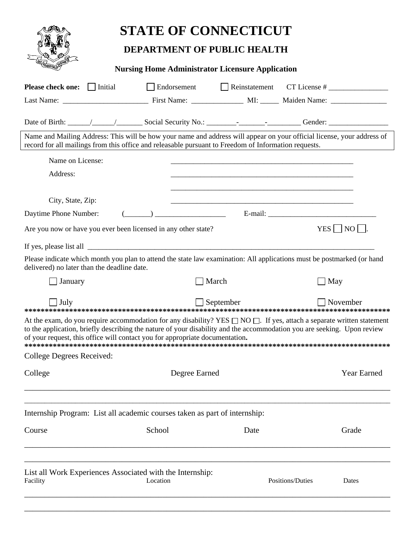| <b>STATE OF CONNECTICUT</b><br><b>DEPARTMENT OF PUBLIC HEALTH</b>                                                                                                                                                                                                                                                                           |                  |                                                                                                                       |                    |             |
|---------------------------------------------------------------------------------------------------------------------------------------------------------------------------------------------------------------------------------------------------------------------------------------------------------------------------------------------|------------------|-----------------------------------------------------------------------------------------------------------------------|--------------------|-------------|
| <b>Nursing Home Administrator Licensure Application</b>                                                                                                                                                                                                                                                                                     |                  |                                                                                                                       |                    |             |
| <b>Please check one:</b><br>$\vert$ Initial                                                                                                                                                                                                                                                                                                 |                  | Endorsement Reinstatement CT License #                                                                                |                    |             |
|                                                                                                                                                                                                                                                                                                                                             |                  |                                                                                                                       |                    |             |
|                                                                                                                                                                                                                                                                                                                                             |                  |                                                                                                                       |                    |             |
| Name and Mailing Address: This will be how your name and address will appear on your official license, your address of<br>record for all mailings from this office and releasable pursuant to Freedom of Information requests.                                                                                                              |                  |                                                                                                                       |                    |             |
| Name on License:                                                                                                                                                                                                                                                                                                                            |                  |                                                                                                                       |                    |             |
| Address:                                                                                                                                                                                                                                                                                                                                    |                  | <u> 1989 - Johann John Stone, market fan de Fryske kun fan de fan de fan de fan de fan de fan de fan de fan de fa</u> |                    |             |
| City, State, Zip:                                                                                                                                                                                                                                                                                                                           |                  | <u> 1980 - Johann John Stone, markin film ar yn y brenin y brenin y brenin y brenin y brenin y brenin y brenin y</u>  |                    |             |
| $(\underline{\hspace{1cm}})$ $\underline{\hspace{1cm}}$ E-mail: $\underline{\hspace{1cm}}$<br>Daytime Phone Number:                                                                                                                                                                                                                         |                  |                                                                                                                       |                    |             |
| Are you now or have you ever been licensed in any other state?                                                                                                                                                                                                                                                                              |                  |                                                                                                                       | $YES \mid NO \mid$ |             |
|                                                                                                                                                                                                                                                                                                                                             |                  |                                                                                                                       |                    |             |
| Please indicate which month you plan to attend the state law examination: All applications must be postmarked (or hand<br>delivered) no later than the deadline date.                                                                                                                                                                       |                  |                                                                                                                       |                    |             |
| January                                                                                                                                                                                                                                                                                                                                     | March            |                                                                                                                       | $\Box$ May         |             |
| $\exists$ July                                                                                                                                                                                                                                                                                                                              | $\Box$ September |                                                                                                                       | $\Box$ November    |             |
| At the exam, do you require accommodation for any disability? YES $\Box$ NO $\Box$ . If yes, attach a separate written statement<br>to the application, briefly describing the nature of your disability and the accommodation you are seeking. Upon review<br>of your request, this office will contact you for appropriate documentation. |                  |                                                                                                                       |                    |             |
| College Degrees Received:                                                                                                                                                                                                                                                                                                                   |                  |                                                                                                                       |                    |             |
| College                                                                                                                                                                                                                                                                                                                                     | Degree Earned    |                                                                                                                       |                    | Year Earned |
| Internship Program: List all academic courses taken as part of internship:                                                                                                                                                                                                                                                                  |                  |                                                                                                                       |                    |             |
| Course                                                                                                                                                                                                                                                                                                                                      | School           | Date                                                                                                                  |                    | Grade       |
| List all Work Experiences Associated with the Internship:<br>Facility                                                                                                                                                                                                                                                                       | Location         |                                                                                                                       | Positions/Duties   | Dates       |

\_\_\_\_\_\_\_\_\_\_\_\_\_\_\_\_\_\_\_\_\_\_\_\_\_\_\_\_\_\_\_\_\_\_\_\_\_\_\_\_\_\_\_\_\_\_\_\_\_\_\_\_\_\_\_\_\_\_\_\_\_\_\_\_\_\_\_\_\_\_\_\_\_\_\_\_\_\_\_\_\_\_\_\_\_\_\_\_\_\_